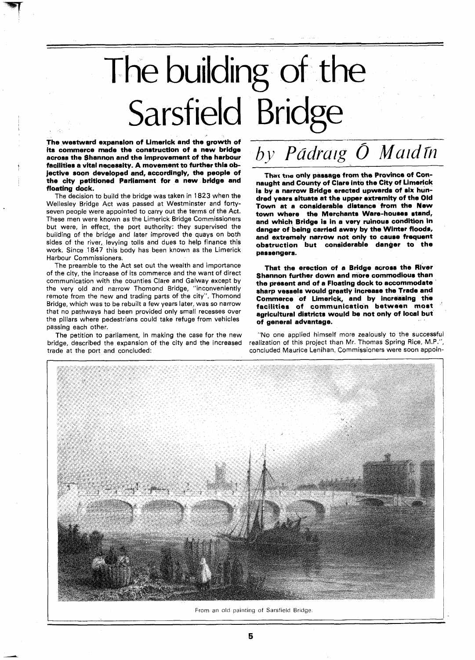## The building of the Sarsfield Bridge

The westward expansion of Limerick and the growth of its commerce made the construction of a new bridge across the Shannon and the improvement of the harbour facilities a vital necessity. A movement to further this objective soon developed and, accordingly, the people of the city petitioned Parliament for a new bridge and floating dock.

The decision to build the bridge was taken in 1823 when the Wellesley Bridge Act was passed at Westminster and fortyseven people were appointed to carry out the terms of the Act. These men were known as the Limerick Bridge Commissioners but were, in effect, the port authority: they supervised the building of the bridge and later improved the quays on both sides of the river, levying tolls and dues to help finance this work. Since 1847 this body has been known as the Limerick Harbour Commissioners.

The preamble to the Act set out the wealth and importance of the city, the increase of its commerce and the want of direct communication with the counties Clare and Galway except by the very old and narrow Thomond Bridge, "inconveniently remote from the new and trading parts of the city". Thomond Bridge, which was to be rebuilt a few years later, was so narrow that no pathways had been provided only small recesses over the pillars where pedestrians could take refuge from vehicles passing each other.

The petition to parliament, in making the case for the new bridge, described the expansion of the city and the increased trade at the port and concluded:

## by Pádraig Ó Maidín

**Thax tne** only passage from the Province of Connaught and County of Clare into the City of Limerick is by a narrow Bridge erected upwards of six hundred years situate at the upper extremity of the Old Town at a considerable distance from the New town where the Merchants Ware-houses stand, and which Bridge is in a very ruinous condition In danger of being carried away by the Winter floods, and extremely narrow not only to cause frequent obstruction but considerable danger to the passengers.

That the erection of a Bridge across the River Shannon further down and more commodious than the present and of a Floating dock to accommodate sharp vessels would greatly increase the Trade and Commerce of Limerick, and by increasing the facilities of communication between most agricultural districts would be not only of local but of general advantage.

"No one applied himself more zealously to the successful realization of this project than Mr. Thomas Spring Rice, M.P.", concluded Maurice Lenihan. Commissioners were soon appoin-



From an old painting of Sarsfield Bridge.